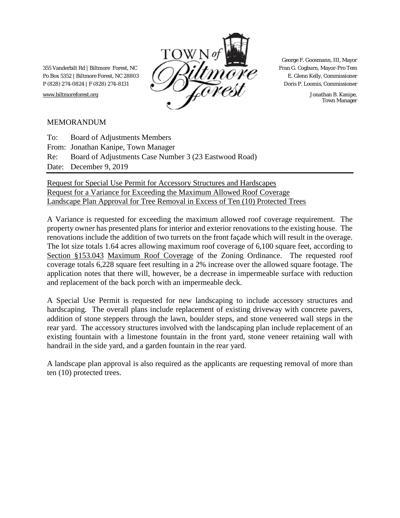

George F. Goosmann, III, Mayor

Town Manager

### MEMORANDUM

| To: Board of Adjustments Members                          |
|-----------------------------------------------------------|
| From: Jonathan Kanipe, Town Manager                       |
| Re: Board of Adjustments Case Number 3 (23 Eastwood Road) |
| Date: December 9, 2019                                    |

Request for Special Use Permit for Accessory Structures and Hardscapes Request for a Variance for Exceeding the Maximum Allowed Roof Coverage Landscape Plan Approval for Tree Removal in Excess of Ten (10) Protected Trees

A Variance is requested for exceeding the maximum allowed roof coverage requirement. The property owner has presented plans for interior and exterior renovations to the existing house. The renovations include the addition of two turrets on the front façade which will result in the overage. The lot size totals 1.64 acres allowing maximum roof coverage of 6,100 square feet, according to Section §153.043 Maximum Roof Coverage of the Zoning Ordinance. The requested roof coverage totals 6,228 square feet resulting in a 2% increase over the allowed square footage. The application notes that there will, however, be a decrease in impermeable surface with reduction and replacement of the back porch with an impermeable deck.

A Special Use Permit is requested for new landscaping to include accessory structures and hardscaping. The overall plans include replacement of existing driveway with concrete pavers, addition of stone steppers through the lawn, boulder steps, and stone veneered wall steps in the rear yard. The accessory structures involved with the landscaping plan include replacement of an existing fountain with a limestone fountain in the front yard, stone veneer retaining wall with handrail in the side yard, and a garden fountain in the rear yard.

A landscape plan approval is also required as the applicants are requesting removal of more than ten (10) protected trees.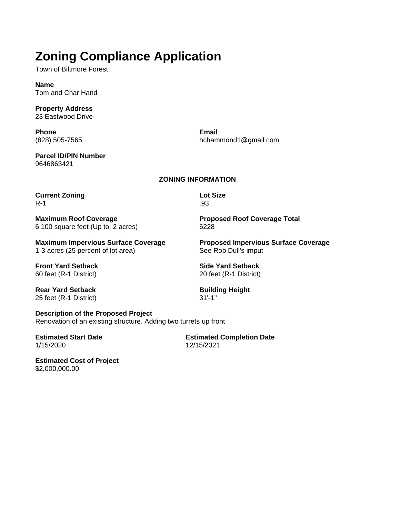# **Zoning Compliance Application**

Town of Biltmore Forest

**Name** Tom and Char Hand

**Property Address** 23 Eastwood Drive

**Phone** (828) 505-7565

hchammond1@gmail.com

**Email**

**Lot Size** .93

**Parcel ID/PIN Number** 9646863421

#### **ZONING INFORMATION**

**Current Zoning** R-1

**Maximum Roof Coverage** 6,100 square feet (Up to 2 acres) **Proposed Roof Coverage Total** 6228

**Maximum Impervious Surface Coverage** 1-3 acres (25 percent of lot area)

**Front Yard Setback** 60 feet (R-1 District)

**Building Height**

31'-1"

**Rear Yard Setback** 25 feet (R-1 District)

**Description of the Proposed Project** Renovation of an existing structure. Adding two turrets up front

**Estimated Start Date** 1/15/2020

**Estimated Completion Date** 12/15/2021

**Estimated Cost of Project** \$2,000,000.00

**Proposed Impervious Surface Coverage** See Rob Dull's imput

**Side Yard Setback** 20 feet (R-1 District)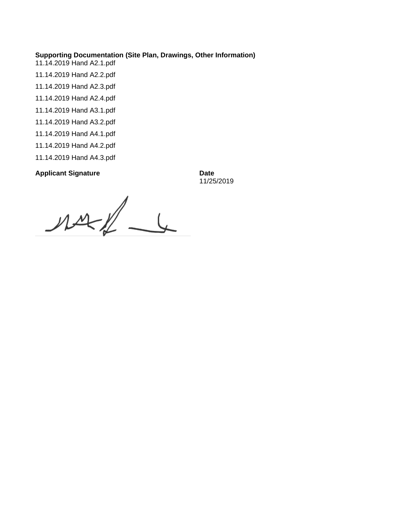#### **Supporting Documentation (Site Plan, Drawings, Other Information)**

- 11.14.2019 Hand A2.1.pdf
- 11.14.2019 Hand A2.2.pdf
- 11.14.2019 Hand A2.3.pdf
- 11.14.2019 Hand A2.4.pdf
- 11.14.2019 Hand A3.1.pdf
- 11.14.2019 Hand A3.2.pdf
- 11.14.2019 Hand A4.1.pdf
- 11.14.2019 Hand A4.2.pdf
- 11.14.2019 Hand A4.3.pdf

### **Applicant Signature Date**

11/25/2019

 $\frac{1}{2}$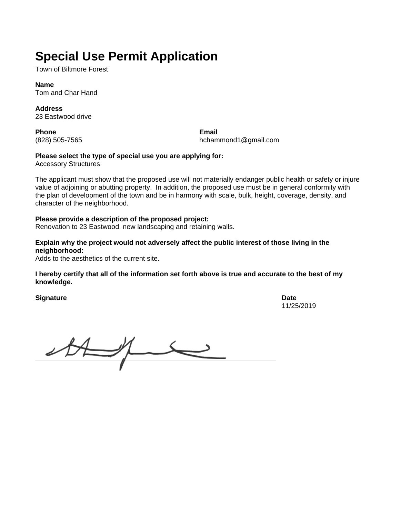# **Special Use Permit Application**

Town of Biltmore Forest

**Name** Tom and Char Hand

**Address** 23 Eastwood drive

**Phone** (828) 505-7565

**Email** hchammond1@gmail.com

### **Please select the type of special use you are applying for:**

Accessory Structures

The applicant must show that the proposed use will not materially endanger public health or safety or injure value of adjoining or abutting property. In addition, the proposed use must be in general conformity with the plan of development of the town and be in harmony with scale, bulk, height, coverage, density, and character of the neighborhood.

#### **Please provide a description of the proposed project:**

Renovation to 23 Eastwood. new landscaping and retaining walls.

**Explain why the project would not adversely affect the public interest of those living in the neighborhood:**

Adds to the aesthetics of the current site.

**I hereby certify that all of the information set forth above is true and accurate to the best of my knowledge.**

**Signature Date** 

11/25/2019

 $28 - 7$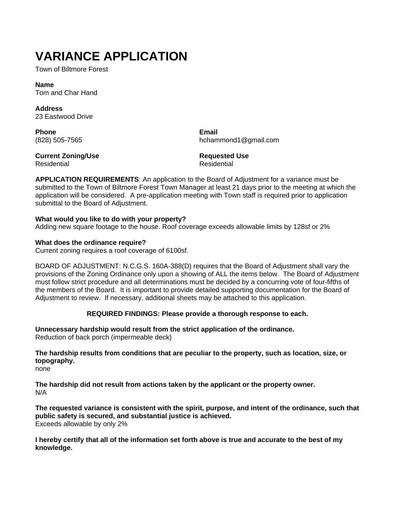# **VARIANCE APPLICATION**

Town of Biltmore Forest

**Name** Tom and Char Hand

**Address** 23 Eastwood Drive

**Phone** (828) 505-7565 **Email** hchammond1@gmail.com

#### **Current Zoning/Use** Residential

**Requested Use** Residential

**APPLICATION REQUIREMENTS**: An application to the Board of Adjustment for a variance must be submitted to the Town of Biltmore Forest Town Manager at least 21 days prior to the meeting at which the application will be considered. A pre-application meeting with Town staff is required prior to application submittal to the Board of Adjustment.

#### **What would you like to do with your property?**

Adding new square footage to the house. Roof coverage exceeds allowable limits by 128sf or 2%

#### **What does the ordinance require?**

Current zoning requires a roof coverage of 6100sf.

BOARD OF ADJUSTMENT: N.C.G.S. 160A-388(D) requires that the Board of Adjustment shall vary the provisions of the Zoning Ordinance only upon a showing of ALL the items below. The Board of Adjustment must follow strict procedure and all determinations must be decided by a concurring vote of four-fifths of the members of the Board. It is important to provide detailed supporting documentation for the Board of Adjustment to review. If necessary, additional sheets may be attached to this application.

#### **REQUIRED FINDINGS: Please provide a thorough response to each.**

**Unnecessary hardship would result from the strict application of the ordinance.**  Reduction of back porch (impermeable deck)

**The hardship results from conditions that are peculiar to the property, such as location, size, or topography.**

none

**The hardship did not result from actions taken by the applicant or the property owner.** N/A

**The requested variance is consistent with the spirit, purpose, and intent of the ordinance, such that public safety is secured, and substantial justice is achieved.** Exceeds allowable by only 2%

**I hereby certify that all of the information set forth above is true and accurate to the best of my knowledge.**